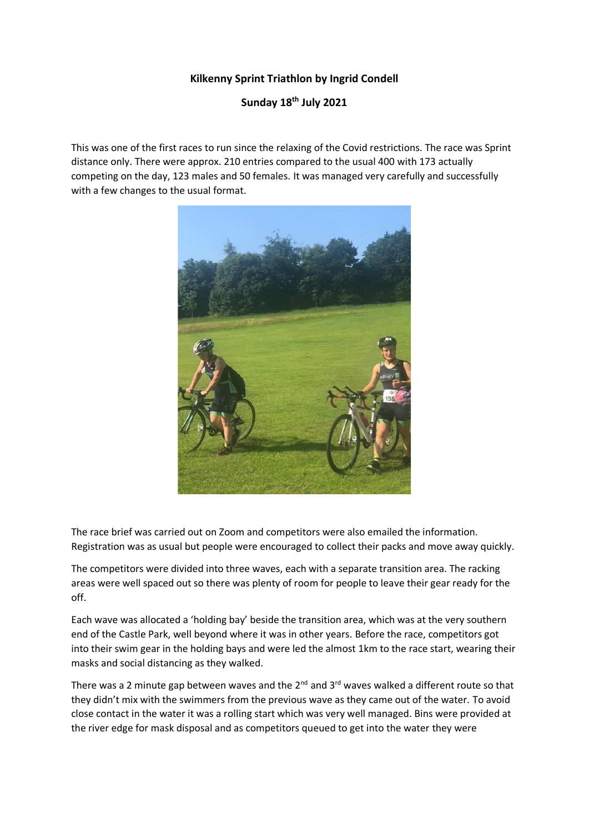## **Kilkenny Sprint Triathlon by Ingrid Condell**

## **Sunday 18th July 2021**

This was one of the first races to run since the relaxing of the Covid restrictions. The race was Sprint distance only. There were approx. 210 entries compared to the usual 400 with 173 actually competing on the day, 123 males and 50 females. It was managed very carefully and successfully with a few changes to the usual format.



The race brief was carried out on Zoom and competitors were also emailed the information. Registration was as usual but people were encouraged to collect their packs and move away quickly.

The competitors were divided into three waves, each with a separate transition area. The racking areas were well spaced out so there was plenty of room for people to leave their gear ready for the off.

Each wave was allocated a 'holding bay' beside the transition area, which was at the very southern end of the Castle Park, well beyond where it was in other years. Before the race, competitors got into their swim gear in the holding bays and were led the almost 1km to the race start, wearing their masks and social distancing as they walked.

There was a 2 minute gap between waves and the  $2^{nd}$  and  $3^{rd}$  waves walked a different route so that they didn't mix with the swimmers from the previous wave as they came out of the water. To avoid close contact in the water it was a rolling start which was very well managed. Bins were provided at the river edge for mask disposal and as competitors queued to get into the water they were